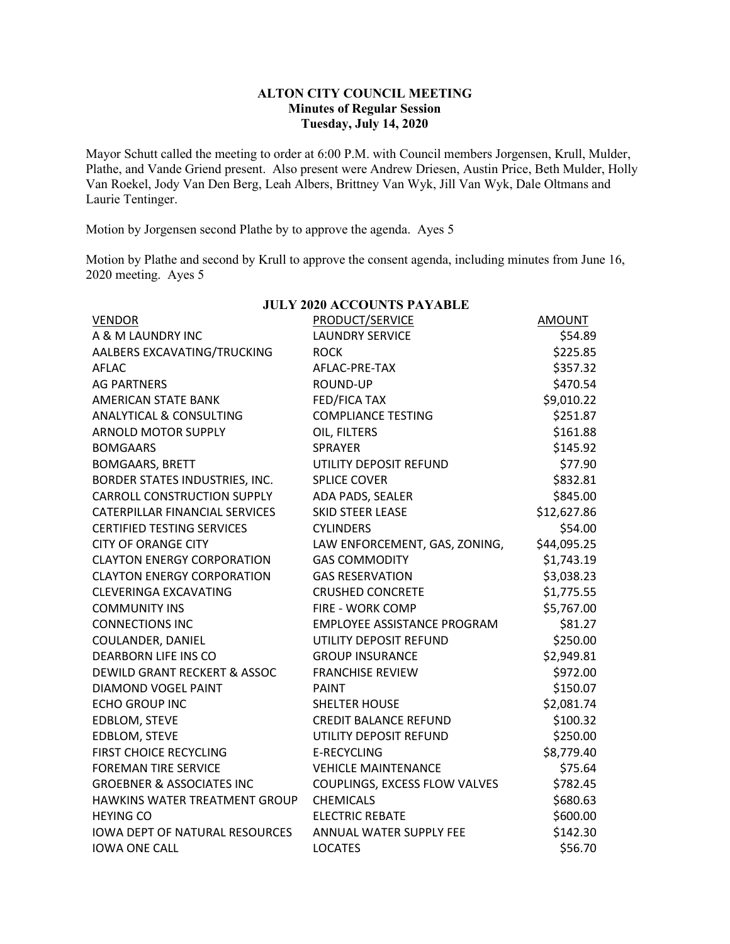## **ALTON CITY COUNCIL MEETING Minutes of Regular Session Tuesday, July 14, 2020**

Mayor Schutt called the meeting to order at 6:00 P.M. with Council members Jorgensen, Krull, Mulder, Plathe, and Vande Griend present. Also present were Andrew Driesen, Austin Price, Beth Mulder, Holly Van Roekel, Jody Van Den Berg, Leah Albers, Brittney Van Wyk, Jill Van Wyk, Dale Oltmans and Laurie Tentinger.

Motion by Jorgensen second Plathe by to approve the agenda. Ayes 5

Motion by Plathe and second by Krull to approve the consent agenda, including minutes from June 16, 2020 meeting. Ayes 5

| <b>VENDOR</b>                        | PRODUCT/SERVICE                    | AMOUNT      |
|--------------------------------------|------------------------------------|-------------|
| A & M LAUNDRY INC                    | <b>LAUNDRY SERVICE</b>             | \$54.89     |
| AALBERS EXCAVATING/TRUCKING          | <b>ROCK</b>                        | \$225.85    |
| AFLAC                                | AFLAC-PRE-TAX                      | \$357.32    |
| <b>AG PARTNERS</b>                   | <b>ROUND-UP</b>                    | \$470.54    |
| <b>AMERICAN STATE BANK</b>           | FED/FICA TAX                       | \$9,010.22  |
| ANALYTICAL & CONSULTING              | <b>COMPLIANCE TESTING</b>          | \$251.87    |
| <b>ARNOLD MOTOR SUPPLY</b>           | OIL, FILTERS                       | \$161.88    |
| <b>BOMGAARS</b>                      | <b>SPRAYER</b>                     | \$145.92    |
| <b>BOMGAARS, BRETT</b>               | UTILITY DEPOSIT REFUND             | \$77.90     |
| BORDER STATES INDUSTRIES, INC.       | <b>SPLICE COVER</b>                | \$832.81    |
| <b>CARROLL CONSTRUCTION SUPPLY</b>   | ADA PADS, SEALER                   |             |
| CATERPILLAR FINANCIAL SERVICES       | <b>SKID STEER LEASE</b>            | \$12,627.86 |
| <b>CERTIFIED TESTING SERVICES</b>    | <b>CYLINDERS</b>                   | \$54.00     |
| <b>CITY OF ORANGE CITY</b>           | LAW ENFORCEMENT, GAS, ZONING,      | \$44,095.25 |
| <b>CLAYTON ENERGY CORPORATION</b>    | <b>GAS COMMODITY</b>               | \$1,743.19  |
| <b>CLAYTON ENERGY CORPORATION</b>    | <b>GAS RESERVATION</b>             | \$3,038.23  |
| <b>CLEVERINGA EXCAVATING</b>         | <b>CRUSHED CONCRETE</b>            | \$1,775.55  |
| <b>COMMUNITY INS</b>                 | FIRE - WORK COMP                   | \$5,767.00  |
| <b>CONNECTIONS INC</b>               | <b>EMPLOYEE ASSISTANCE PROGRAM</b> | \$81.27     |
| COULANDER, DANIEL                    | UTILITY DEPOSIT REFUND             | \$250.00    |
| <b>DEARBORN LIFE INS CO</b>          | <b>GROUP INSURANCE</b>             | \$2,949.81  |
| DEWILD GRANT RECKERT & ASSOC         | <b>FRANCHISE REVIEW</b>            | \$972.00    |
| DIAMOND VOGEL PAINT                  | <b>PAINT</b>                       | \$150.07    |
| <b>ECHO GROUP INC</b>                | <b>SHELTER HOUSE</b>               | \$2,081.74  |
| EDBLOM, STEVE                        | <b>CREDIT BALANCE REFUND</b>       | \$100.32    |
| EDBLOM, STEVE                        | UTILITY DEPOSIT REFUND             | \$250.00    |
| FIRST CHOICE RECYCLING               | <b>E-RECYCLING</b>                 | \$8,779.40  |
| <b>FOREMAN TIRE SERVICE</b>          | <b>VEHICLE MAINTENANCE</b>         | \$75.64     |
| <b>GROEBNER &amp; ASSOCIATES INC</b> | COUPLINGS, EXCESS FLOW VALVES      | \$782.45    |
| HAWKINS WATER TREATMENT GROUP        | <b>CHEMICALS</b>                   | \$680.63    |
| <b>HEYING CO</b>                     | <b>ELECTRIC REBATE</b>             | \$600.00    |
| IOWA DEPT OF NATURAL RESOURCES       | ANNUAL WATER SUPPLY FEE            | \$142.30    |
| <b>IOWA ONE CALL</b>                 | <b>LOCATES</b>                     | \$56.70     |

## **JULY 2020 ACCOUNTS PAYABLE**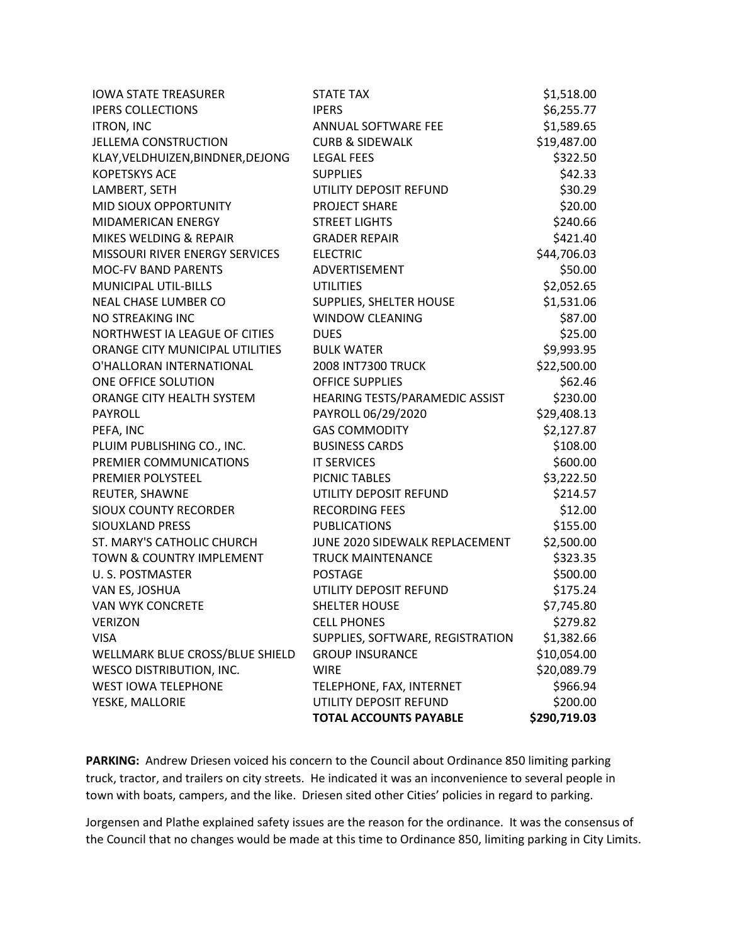| <b>IOWA STATE TREASURER</b>       | <b>STATE TAX</b>                 | \$1,518.00   |
|-----------------------------------|----------------------------------|--------------|
| <b>IPERS COLLECTIONS</b>          | <b>IPERS</b>                     | \$6,255.77   |
| <b>ITRON, INC</b>                 | ANNUAL SOFTWARE FEE              | \$1,589.65   |
| <b>JELLEMA CONSTRUCTION</b>       | <b>CURB &amp; SIDEWALK</b>       | \$19,487.00  |
| KLAY, VELDHUIZEN, BINDNER, DEJONG | <b>LEGAL FEES</b>                | \$322.50     |
| <b>KOPETSKYS ACE</b>              | <b>SUPPLIES</b>                  | \$42.33      |
| LAMBERT, SETH                     | UTILITY DEPOSIT REFUND           | \$30.29      |
| MID SIOUX OPPORTUNITY             | <b>PROJECT SHARE</b>             | \$20.00      |
| <b>MIDAMERICAN ENERGY</b>         | <b>STREET LIGHTS</b>             | \$240.66     |
| MIKES WELDING & REPAIR            | <b>GRADER REPAIR</b>             | \$421.40     |
| MISSOURI RIVER ENERGY SERVICES    | <b>ELECTRIC</b>                  | \$44,706.03  |
| <b>MOC-FV BAND PARENTS</b>        | ADVERTISEMENT                    | \$50.00      |
| <b>MUNICIPAL UTIL-BILLS</b>       | <b>UTILITIES</b>                 | \$2,052.65   |
| NEAL CHASE LUMBER CO              | SUPPLIES, SHELTER HOUSE          | \$1,531.06   |
| NO STREAKING INC                  | <b>WINDOW CLEANING</b>           | \$87.00      |
| NORTHWEST IA LEAGUE OF CITIES     | <b>DUES</b>                      | \$25.00      |
| ORANGE CITY MUNICIPAL UTILITIES   | <b>BULK WATER</b>                | \$9,993.95   |
| O'HALLORAN INTERNATIONAL          | <b>2008 INT7300 TRUCK</b>        | \$22,500.00  |
| ONE OFFICE SOLUTION               | <b>OFFICE SUPPLIES</b>           | \$62.46      |
| ORANGE CITY HEALTH SYSTEM         | HEARING TESTS/PARAMEDIC ASSIST   | \$230.00     |
| PAYROLL                           | PAYROLL 06/29/2020               | \$29,408.13  |
| PEFA, INC                         | <b>GAS COMMODITY</b>             | \$2,127.87   |
| PLUIM PUBLISHING CO., INC.        | <b>BUSINESS CARDS</b>            | \$108.00     |
| PREMIER COMMUNICATIONS            | <b>IT SERVICES</b>               | \$600.00     |
| PREMIER POLYSTEEL                 | PICNIC TABLES                    | \$3,222.50   |
| REUTER, SHAWNE                    | UTILITY DEPOSIT REFUND           | \$214.57     |
| <b>SIOUX COUNTY RECORDER</b>      | <b>RECORDING FEES</b>            | \$12.00      |
| SIOUXLAND PRESS                   | <b>PUBLICATIONS</b>              | \$155.00     |
| ST. MARY'S CATHOLIC CHURCH        | JUNE 2020 SIDEWALK REPLACEMENT   | \$2,500.00   |
| TOWN & COUNTRY IMPLEMENT          | <b>TRUCK MAINTENANCE</b>         | \$323.35     |
| U.S. POSTMASTER                   | <b>POSTAGE</b>                   | \$500.00     |
| VAN ES, JOSHUA                    | UTILITY DEPOSIT REFUND           | \$175.24     |
| <b>VAN WYK CONCRETE</b>           | <b>SHELTER HOUSE</b>             | \$7,745.80   |
| VERIZON                           | <b>CELL PHONES</b>               | \$279.82     |
| <b>VISA</b>                       | SUPPLIES, SOFTWARE, REGISTRATION | \$1,382.66   |
| WELLMARK BLUE CROSS/BLUE SHIELD   | <b>GROUP INSURANCE</b>           | \$10,054.00  |
| <b>WESCO DISTRIBUTION, INC.</b>   | <b>WIRE</b>                      | \$20,089.79  |
| WEST IOWA TELEPHONE               | TELEPHONE, FAX, INTERNET         | \$966.94     |
| YESKE, MALLORIE                   | UTILITY DEPOSIT REFUND           | \$200.00     |
|                                   | <b>TOTAL ACCOUNTS PAYABLE</b>    | \$290,719.03 |

PARKING: Andrew Driesen voiced his concern to the Council about Ordinance 850 limiting parking truck, tractor, and trailers on city streets. He indicated it was an inconvenience to several people in town with boats, campers, and the like. Driesen sited other Cities' policies in regard to parking.

Jorgensen and Plathe explained safety issues are the reason for the ordinance. It was the consensus of the Council that no changes would be made at this time to Ordinance 850, limiting parking in City Limits.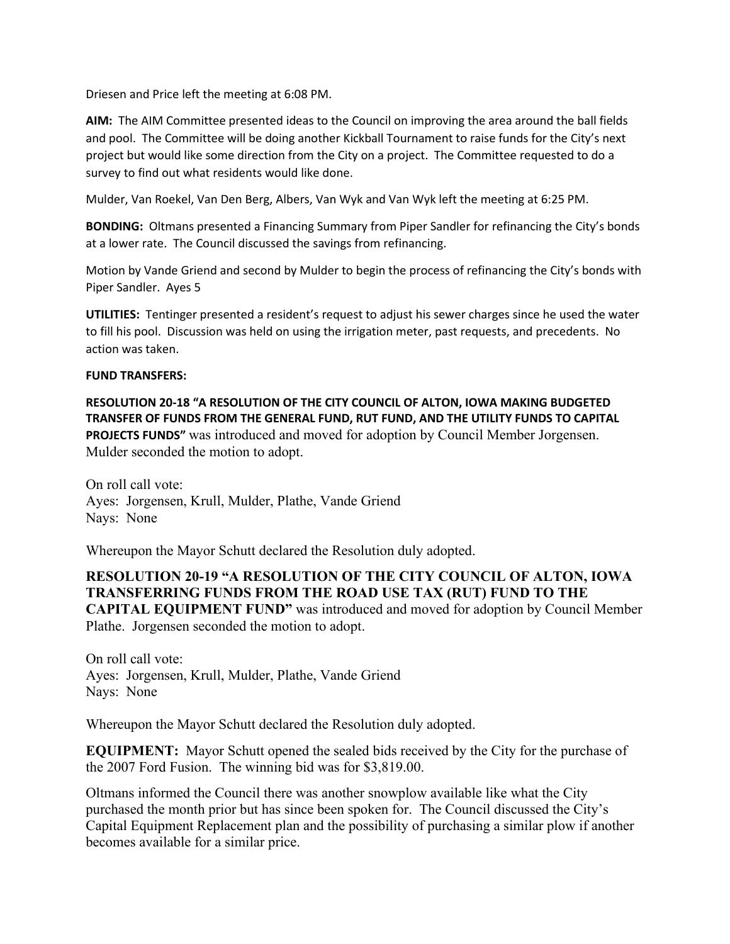Driesen and Price left the meeting at 6:08 PM.

**AIM:** The AIM Committee presented ideas to the Council on improving the area around the ball fields and pool. The Committee will be doing another Kickball Tournament to raise funds for the City's next project but would like some direction from the City on a project. The Committee requested to do a survey to find out what residents would like done.

Mulder, Van Roekel, Van Den Berg, Albers, Van Wyk and Van Wyk left the meeting at 6:25 PM.

**BONDING:** Oltmans presented a Financing Summary from Piper Sandler for refinancing the City's bonds at a lower rate. The Council discussed the savings from refinancing.

Motion by Vande Griend and second by Mulder to begin the process of refinancing the City's bonds with Piper Sandler. Ayes 5

**UTILITIES:** Tentinger presented a resident's request to adjust his sewer charges since he used the water to fill his pool. Discussion was held on using the irrigation meter, past requests, and precedents. No action was taken.

## **FUND TRANSFERS:**

**RESOLUTION 20-18 "A RESOLUTION OF THE CITY COUNCIL OF ALTON, IOWA MAKING BUDGETED TRANSFER OF FUNDS FROM THE GENERAL FUND, RUT FUND, AND THE UTILITY FUNDS TO CAPITAL PROJECTS FUNDS"** was introduced and moved for adoption by Council Member Jorgensen. Mulder seconded the motion to adopt.

On roll call vote: Ayes: Jorgensen, Krull, Mulder, Plathe, Vande Griend Nays: None

Whereupon the Mayor Schutt declared the Resolution duly adopted.

**RESOLUTION 20-19 "A RESOLUTION OF THE CITY COUNCIL OF ALTON, IOWA TRANSFERRING FUNDS FROM THE ROAD USE TAX (RUT) FUND TO THE CAPITAL EQUIPMENT FUND"** was introduced and moved for adoption by Council Member Plathe. Jorgensen seconded the motion to adopt.

On roll call vote: Ayes: Jorgensen, Krull, Mulder, Plathe, Vande Griend Nays: None

Whereupon the Mayor Schutt declared the Resolution duly adopted.

**EQUIPMENT:** Mayor Schutt opened the sealed bids received by the City for the purchase of the 2007 Ford Fusion. The winning bid was for \$3,819.00.

Oltmans informed the Council there was another snowplow available like what the City purchased the month prior but has since been spoken for. The Council discussed the City's Capital Equipment Replacement plan and the possibility of purchasing a similar plow if another becomes available for a similar price.